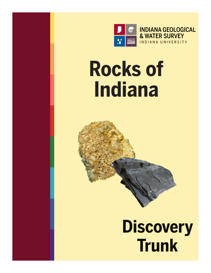

## **Rocks of Indiana**